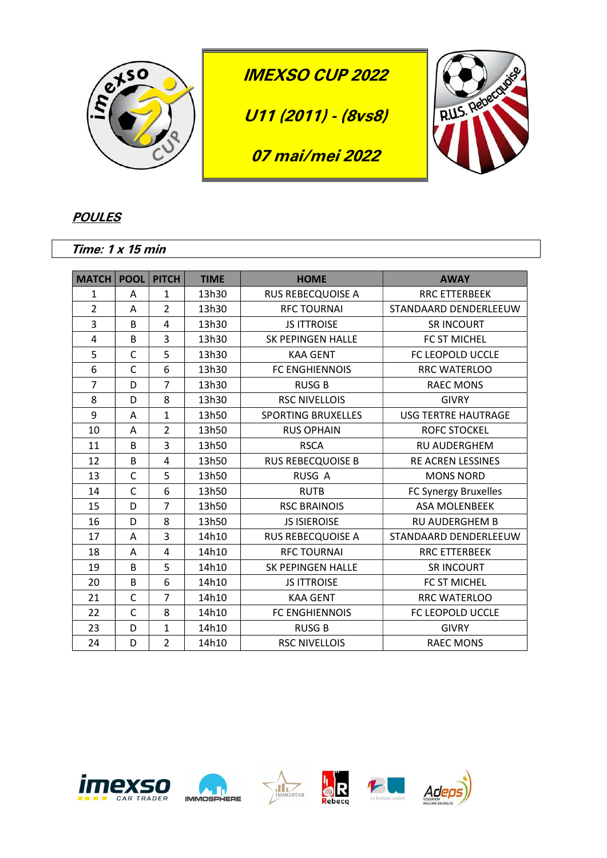

## **POULES**

Time: 1 x 15 min

| <b>MATCH</b>   | <b>POOL</b>  | <b>PITCH</b>   | <b>TIME</b> | <b>HOME</b>               | <b>AWAY</b>                |
|----------------|--------------|----------------|-------------|---------------------------|----------------------------|
| 1              | A            | 1              | 13h30       | <b>RUS REBECQUOISE A</b>  | <b>RRC ETTERBEEK</b>       |
| $\overline{2}$ | A            | $\overline{2}$ | 13h30       | <b>RFC TOURNAI</b>        | STANDAARD DENDERLEEUW      |
| 3              | B            | $\overline{4}$ | 13h30       | <b>JS ITTROISE</b>        | <b>SR INCOURT</b>          |
| 4              | B            | 3              | 13h30       | SK PEPINGEN HALLE         | FC ST MICHEL               |
| 5              | $\mathsf{C}$ | 5              | 13h30       | <b>KAA GENT</b>           | FC LEOPOLD UCCLE           |
| 6              | $\mathsf{C}$ | 6              | 13h30       | FC ENGHIENNOIS            | RRC WATERLOO               |
| $\overline{7}$ | D            | $\overline{7}$ | 13h30       | <b>RUSG B</b>             | <b>RAEC MONS</b>           |
| 8              | D            | 8              | 13h30       | <b>RSC NIVELLOIS</b>      | <b>GIVRY</b>               |
| 9              | A            | $\mathbf{1}$   | 13h50       | <b>SPORTING BRUXELLES</b> | <b>USG TERTRE HAUTRAGE</b> |
| 10             | A            | $\overline{2}$ | 13h50       | <b>RUS OPHAIN</b>         | <b>ROFC STOCKEL</b>        |
| 11             | B            | 3              | 13h50       | <b>RSCA</b>               | <b>RU AUDERGHEM</b>        |
| 12             | B            | 4              | 13h50       | <b>RUS REBECQUOISE B</b>  | <b>RE ACREN LESSINES</b>   |
| 13             | C            | 5              | 13h50       | RUSG A                    | <b>MONS NORD</b>           |
| 14             | C            | 6              | 13h50       | <b>RUTB</b>               | FC Synergy Bruxelles       |
| 15             | D            | $\overline{7}$ | 13h50       | <b>RSC BRAINOIS</b>       | ASA MOLENBEEK              |
| 16             | D            | 8              | 13h50       | <b>JS ISIEROISE</b>       | <b>RU AUDERGHEM B</b>      |
| 17             | Α            | 3              | 14h10       | <b>RUS REBECQUOISE A</b>  | STANDAARD DENDERLEEUW      |
| 18             | Α            | $\overline{4}$ | 14h10       | <b>RFC TOURNAI</b>        | <b>RRC ETTERBEEK</b>       |
| 19             | B            | 5              | 14h10       | SK PEPINGEN HALLE         | <b>SR INCOURT</b>          |
| 20             | B            | 6              | 14h10       | <b>JS ITTROISE</b>        | FC ST MICHEL               |
| 21             | C            | 7              | 14h10       | <b>KAA GENT</b>           | RRC WATERLOO               |
| 22             | C            | 8              | 14h10       | FC ENGHIENNOIS            | FC LEOPOLD UCCLE           |
| 23             | D            | $\mathbf{1}$   | 14h10       | <b>RUSG B</b>             | <b>GIVRY</b>               |
| 24             | D            | $\overline{2}$ | 14h10       | <b>RSC NIVELLOIS</b>      | <b>RAEC MONS</b>           |